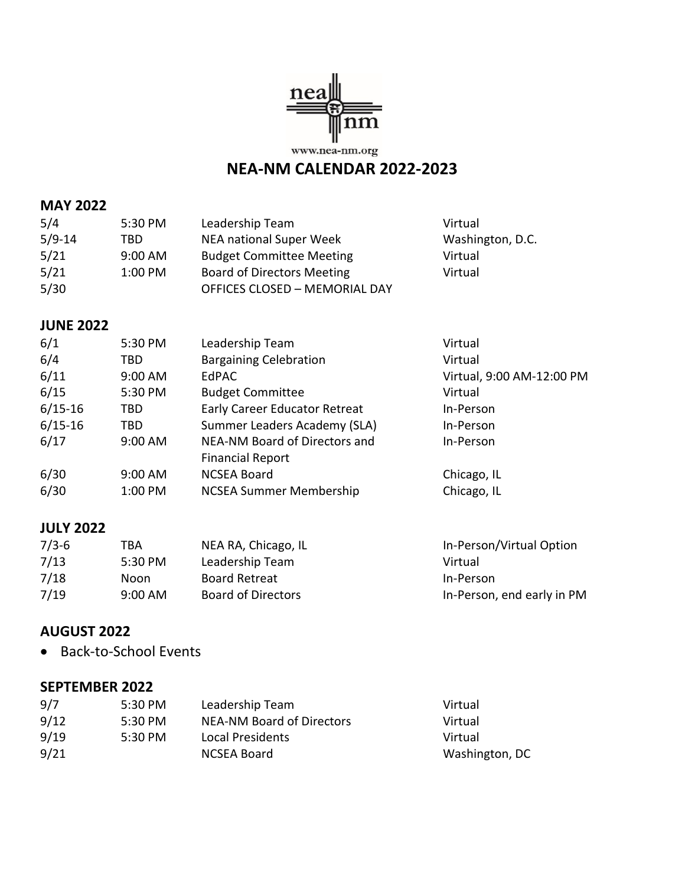

# **NEA-NM CALENDAR 2022-2023**

### **MAY 2022**

| 5/4        | 5:30 PM   | Leadership Team                      | Virtual          |
|------------|-----------|--------------------------------------|------------------|
| $5/9 - 14$ | TBD       | NEA national Super Week              | Washington, D.C. |
| 5/21       | $9:00$ AM | <b>Budget Committee Meeting</b>      | Virtual          |
| 5/21       | 1:00 PM   | <b>Board of Directors Meeting</b>    | Virtual          |
| 5/30       |           | <b>OFFICES CLOSED - MEMORIAL DAY</b> |                  |

### **JUNE 2022**

| 6/1         | 5:30 PM | Leadership Team                      | Virtual                   |
|-------------|---------|--------------------------------------|---------------------------|
| 6/4         | TBD     | <b>Bargaining Celebration</b>        | Virtual                   |
| 6/11        | 9:00 AM | <b>EdPAC</b>                         | Virtual, 9:00 AM-12:00 PM |
| 6/15        | 5:30 PM | <b>Budget Committee</b>              | Virtual                   |
| $6/15 - 16$ | TBD     | <b>Early Career Educator Retreat</b> | In-Person                 |
| $6/15 - 16$ | TBD     | Summer Leaders Academy (SLA)         | In-Person                 |
| 6/17        | 9:00 AM | NEA-NM Board of Directors and        | In-Person                 |
|             |         | <b>Financial Report</b>              |                           |
| 6/30        | 9:00 AM | <b>NCSEA Board</b>                   | Chicago, IL               |
| 6/30        | 1:00 PM | <b>NCSEA Summer Membership</b>       | Chicago, IL               |

### **JULY 2022**

| $7/3 - 6$ | TBA               | NEA RA, Chicago, IL       | In-Person/Virtual Option   |
|-----------|-------------------|---------------------------|----------------------------|
| 7/13      | $5:30 \text{ PM}$ | Leadership Team           | Virtual                    |
| 7/18      | Noon              | Board Retreat             | In-Person                  |
| 7/19      | $9:00 \text{ AM}$ | <b>Board of Directors</b> | In-Person, end early in PM |

### **AUGUST 2022**

• Back-to-School Events

### **SEPTEMBER 2022**

| 9/7  | $5:30 \text{ PM}$ | Leadership Team           | Virtual        |
|------|-------------------|---------------------------|----------------|
| 9/12 | 5:30 PM           | NEA-NM Board of Directors | Virtual        |
| 9/19 | 5:30 PM           | Local Presidents          | Virtual        |
| 9/21 |                   | NCSEA Board               | Washington, DC |